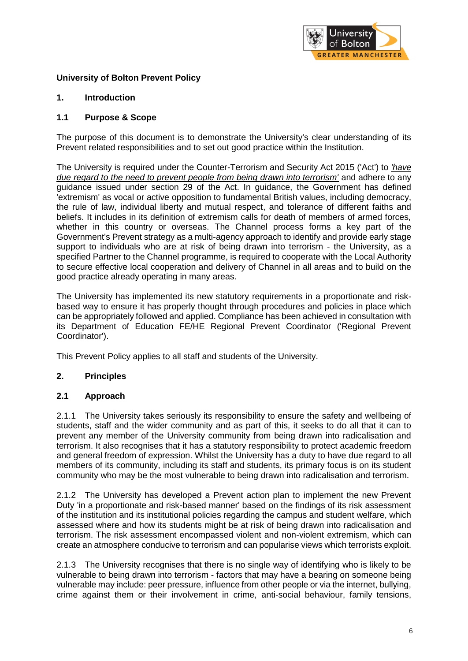

# **University of Bolton Prevent Policy**

### **1. Introduction**

### **1.1 Purpose & Scope**

The purpose of this document is to demonstrate the University's clear understanding of its Prevent related responsibilities and to set out good practice within the Institution.

The University is required under the Counter-Terrorism and Security Act 2015 ('Act') to *'have due regard to the need to prevent people from being drawn into terrorism'* and adhere to any guidance issued under section 29 of the Act. In guidance, the Government has defined 'extremism' as vocal or active opposition to fundamental British values, including democracy, the rule of law, individual liberty and mutual respect, and tolerance of different faiths and beliefs. It includes in its definition of extremism calls for death of members of armed forces, whether in this country or overseas. The Channel process forms a key part of the Government's Prevent strategy as a multi-agency approach to identify and provide early stage support to individuals who are at risk of being drawn into terrorism - the University, as a specified Partner to the Channel programme, is required to cooperate with the Local Authority to secure effective local cooperation and delivery of Channel in all areas and to build on the good practice already operating in many areas.

The University has implemented its new statutory requirements in a proportionate and riskbased way to ensure it has properly thought through procedures and policies in place which can be appropriately followed and applied. Compliance has been achieved in consultation with its Department of Education FE/HE Regional Prevent Coordinator ('Regional Prevent Coordinator').

This Prevent Policy applies to all staff and students of the University.

#### **2. Principles**

#### **2.1 Approach**

2.1.1 The University takes seriously its responsibility to ensure the safety and wellbeing of students, staff and the wider community and as part of this, it seeks to do all that it can to prevent any member of the University community from being drawn into radicalisation and terrorism. It also recognises that it has a statutory responsibility to protect academic freedom and general freedom of expression. Whilst the University has a duty to have due regard to all members of its community, including its staff and students, its primary focus is on its student community who may be the most vulnerable to being drawn into radicalisation and terrorism.

2.1.2 The University has developed a Prevent action plan to implement the new Prevent Duty 'in a proportionate and risk-based manner' based on the findings of its risk assessment of the institution and its institutional policies regarding the campus and student welfare, which assessed where and how its students might be at risk of being drawn into radicalisation and terrorism. The risk assessment encompassed violent and non-violent extremism, which can create an atmosphere conducive to terrorism and can popularise views which terrorists exploit.

2.1.3 The University recognises that there is no single way of identifying who is likely to be vulnerable to being drawn into terrorism - factors that may have a bearing on someone being vulnerable may include: peer pressure, influence from other people or via the internet, bullying, crime against them or their involvement in crime, anti-social behaviour, family tensions,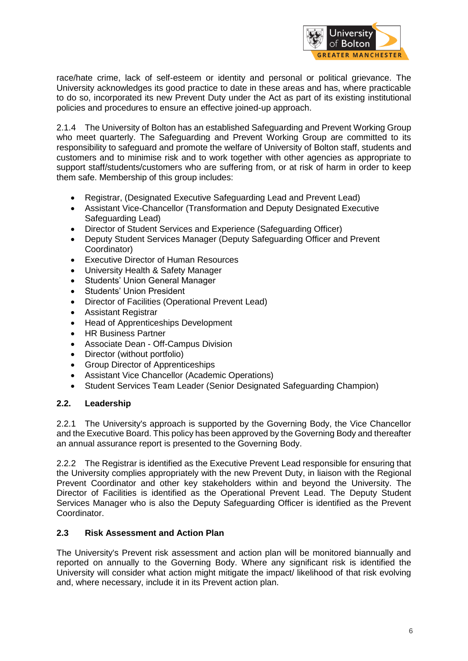

race/hate crime, lack of self-esteem or identity and personal or political grievance. The University acknowledges its good practice to date in these areas and has, where practicable to do so, incorporated its new Prevent Duty under the Act as part of its existing institutional policies and procedures to ensure an effective joined-up approach.

2.1.4 The University of Bolton has an established Safeguarding and Prevent Working Group who meet quarterly. The Safeguarding and Prevent Working Group are committed to its responsibility to safeguard and promote the welfare of University of Bolton staff, students and customers and to minimise risk and to work together with other agencies as appropriate to support staff/students/customers who are suffering from, or at risk of harm in order to keep them safe. Membership of this group includes:

- Registrar, (Designated Executive Safeguarding Lead and Prevent Lead)
- Assistant Vice-Chancellor (Transformation and Deputy Designated Executive Safeguarding Lead)
- Director of Student Services and Experience (Safeguarding Officer)
- Deputy Student Services Manager (Deputy Safeguarding Officer and Prevent Coordinator)
- Executive Director of Human Resources
- University Health & Safety Manager
- Students' Union General Manager
- Students' Union President
- Director of Facilities (Operational Prevent Lead)
- Assistant Registrar
- Head of Apprenticeships Development
- HR Business Partner
- Associate Dean Off-Campus Division
- Director (without portfolio)
- Group Director of Apprenticeships
- Assistant Vice Chancellor (Academic Operations)
- Student Services Team Leader (Senior Designated Safeguarding Champion)

#### **2.2. Leadership**

2.2.1 The University's approach is supported by the Governing Body, the Vice Chancellor and the Executive Board. This policy has been approved by the Governing Body and thereafter an annual assurance report is presented to the Governing Body.

2.2.2 The Registrar is identified as the Executive Prevent Lead responsible for ensuring that the University complies appropriately with the new Prevent Duty, in liaison with the Regional Prevent Coordinator and other key stakeholders within and beyond the University. The Director of Facilities is identified as the Operational Prevent Lead. The Deputy Student Services Manager who is also the Deputy Safeguarding Officer is identified as the Prevent Coordinator.

# **2.3 Risk Assessment and Action Plan**

The University's Prevent risk assessment and action plan will be monitored biannually and reported on annually to the Governing Body. Where any significant risk is identified the University will consider what action might mitigate the impact/ likelihood of that risk evolving and, where necessary, include it in its Prevent action plan.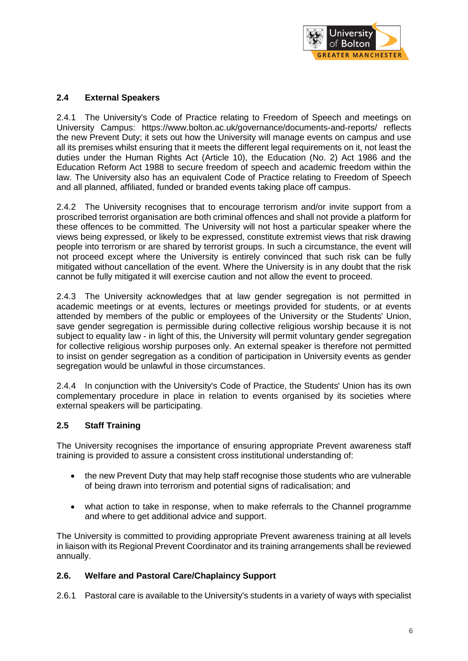

# **2.4 External Speakers**

2.4.1 The University's Code of Practice relating to Freedom of Speech and meetings on University Campus: https://www.bolton.ac.uk/governance/documents-and-reports/ reflects the new Prevent Duty; it sets out how the University will manage events on campus and use all its premises whilst ensuring that it meets the different legal requirements on it, not least the duties under the Human Rights Act (Article 10), the Education (No. 2) Act 1986 and the Education Reform Act 1988 to secure freedom of speech and academic freedom within the law. The University also has an equivalent Code of Practice relating to Freedom of Speech and all planned, affiliated, funded or branded events taking place off campus.

2.4.2 The University recognises that to encourage terrorism and/or invite support from a proscribed terrorist organisation are both criminal offences and shall not provide a platform for these offences to be committed. The University will not host a particular speaker where the views being expressed, or likely to be expressed, constitute extremist views that risk drawing people into terrorism or are shared by terrorist groups. In such a circumstance, the event will not proceed except where the University is entirely convinced that such risk can be fully mitigated without cancellation of the event. Where the University is in any doubt that the risk cannot be fully mitigated it will exercise caution and not allow the event to proceed.

2.4.3 The University acknowledges that at law gender segregation is not permitted in academic meetings or at events, lectures or meetings provided for students, or at events attended by members of the public or employees of the University or the Students' Union, save gender segregation is permissible during collective religious worship because it is not subject to equality law - in light of this, the University will permit voluntary gender segregation for collective religious worship purposes only. An external speaker is therefore not permitted to insist on gender segregation as a condition of participation in University events as gender segregation would be unlawful in those circumstances.

2.4.4 In conjunction with the University's Code of Practice, the Students' Union has its own complementary procedure in place in relation to events organised by its societies where external speakers will be participating.

#### **2.5 Staff Training**

The University recognises the importance of ensuring appropriate Prevent awareness staff training is provided to assure a consistent cross institutional understanding of:

- the new Prevent Duty that may help staff recognise those students who are vulnerable of being drawn into terrorism and potential signs of radicalisation; and
- what action to take in response, when to make referrals to the Channel programme and where to get additional advice and support.

The University is committed to providing appropriate Prevent awareness training at all levels in liaison with its Regional Prevent Coordinator and its training arrangements shall be reviewed annually.

#### **2.6. Welfare and Pastoral Care/Chaplaincy Support**

2.6.1 Pastoral care is available to the University's students in a variety of ways with specialist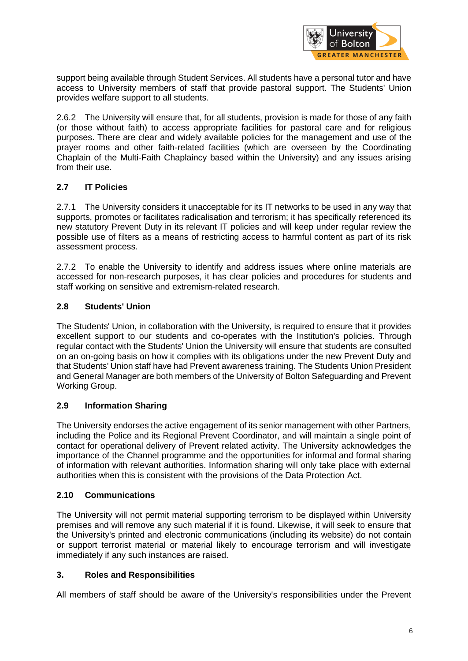

support being available through Student Services. All students have a personal tutor and have access to University members of staff that provide pastoral support. The Students' Union provides welfare support to all students.

2.6.2 The University will ensure that, for all students, provision is made for those of any faith (or those without faith) to access appropriate facilities for pastoral care and for religious purposes. There are clear and widely available policies for the management and use of the prayer rooms and other faith-related facilities (which are overseen by the Coordinating Chaplain of the Multi-Faith Chaplaincy based within the University) and any issues arising from their use.

# **2.7 IT Policies**

2.7.1 The University considers it unacceptable for its IT networks to be used in any way that supports, promotes or facilitates radicalisation and terrorism; it has specifically referenced its new statutory Prevent Duty in its relevant IT policies and will keep under regular review the possible use of filters as a means of restricting access to harmful content as part of its risk assessment process.

2.7.2 To enable the University to identify and address issues where online materials are accessed for non-research purposes, it has clear policies and procedures for students and staff working on sensitive and extremism-related research.

#### **2.8 Students' Union**

The Students' Union, in collaboration with the University, is required to ensure that it provides excellent support to our students and co-operates with the Institution's policies. Through regular contact with the Students' Union the University will ensure that students are consulted on an on-going basis on how it complies with its obligations under the new Prevent Duty and that Students' Union staff have had Prevent awareness training. The Students Union President and General Manager are both members of the University of Bolton Safeguarding and Prevent Working Group.

#### **2.9 Information Sharing**

The University endorses the active engagement of its senior management with other Partners, including the Police and its Regional Prevent Coordinator, and will maintain a single point of contact for operational delivery of Prevent related activity. The University acknowledges the importance of the Channel programme and the opportunities for informal and formal sharing of information with relevant authorities. Information sharing will only take place with external authorities when this is consistent with the provisions of the Data Protection Act.

#### **2.10 Communications**

The University will not permit material supporting terrorism to be displayed within University premises and will remove any such material if it is found. Likewise, it will seek to ensure that the University's printed and electronic communications (including its website) do not contain or support terrorist material or material likely to encourage terrorism and will investigate immediately if any such instances are raised.

#### **3. Roles and Responsibilities**

All members of staff should be aware of the University's responsibilities under the Prevent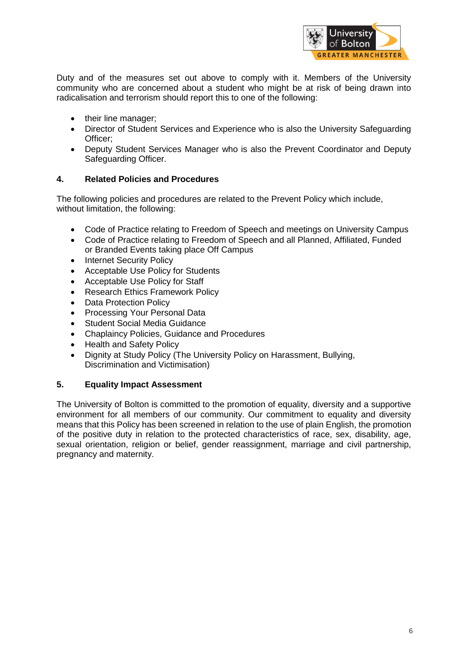

Duty and of the measures set out above to comply with it. Members of the University community who are concerned about a student who might be at risk of being drawn into radicalisation and terrorism should report this to one of the following:

- their line manager;
- Director of Student Services and Experience who is also the University Safeguarding Officer;
- Deputy Student Services Manager who is also the Prevent Coordinator and Deputy Safeguarding Officer.

#### **4. Related Policies and Procedures**

The following policies and procedures are related to the Prevent Policy which include, without limitation, the following:

- Code of Practice relating to Freedom of Speech and meetings on University Campus
- Code of Practice relating to Freedom of Speech and all Planned, Affiliated, Funded or Branded Events taking place Off Campus
- Internet Security Policy
- Acceptable Use Policy for Students
- Acceptable Use Policy for Staff
- Research Ethics Framework Policy
- Data Protection Policy
- Processing Your Personal Data
- Student Social Media Guidance
- Chaplaincy Policies, Guidance and Procedures
- Health and Safety Policy
- Dignity at Study Policy (The University Policy on Harassment, Bullying, Discrimination and Victimisation)

#### **5. Equality Impact Assessment**

The University of Bolton is committed to the promotion of equality, diversity and a supportive environment for all members of our community. Our commitment to equality and diversity means that this Policy has been screened in relation to the use of plain English, the promotion of the positive duty in relation to the protected characteristics of race, sex, disability, age, sexual orientation, religion or belief, gender reassignment, marriage and civil partnership, pregnancy and maternity.